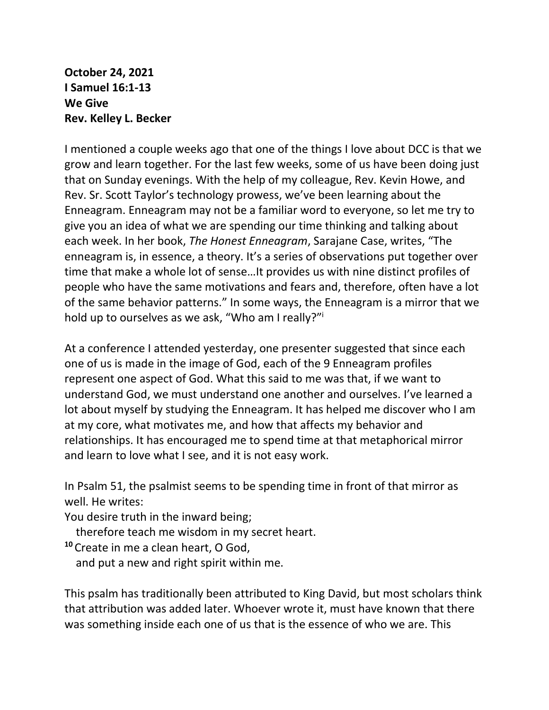**October 24, 2021 I Samuel 16:1-13 We Give Rev. Kelley L. Becker**

I mentioned a couple weeks ago that one of the things I love about DCC is that we grow and learn together. For the last few weeks, some of us have been doing just that on Sunday evenings. With the help of my colleague, Rev. Kevin Howe, and Rev. Sr. Scott Taylor's technology prowess, we've been learning about the Enneagram. Enneagram may not be a familiar word to everyone, so let me try to give you an idea of what we are spending our time thinking and talking about each week. In her book, *The Honest Enneagram*, Sarajane Case, writes, "The enneagram is, in essence, a theory. It's a series of observations put together over time that make a whole lot of sense…It provides us with nine distinct profiles of people who have the same motivations and fears and, therefore, often have a lot of the same behavior patterns." In some ways, the Enneagram is a mirror that we hold up to ourselves as we ask, "Who am I really?"<sup>i</sup>

At a conference I attended yesterday, one presenter suggested that since each one of us is made in the image of God, each of the 9 Enneagram profiles represent one aspect of God. What this said to me was that, if we want to understand God, we must understand one another and ourselves. I've learned a lot about myself by studying the Enneagram. It has helped me discover who I am at my core, what motivates me, and how that affects my behavior and relationships. It has encouraged me to spend time at that metaphorical mirror and learn to love what I see, and it is not easy work.

In Psalm 51, the psalmist seems to be spending time in front of that mirror as well. He writes:

You desire truth in the inward being;

therefore teach me wisdom in my secret heart.

**<sup>10</sup>** Create in me a clean heart, O God,

and put a new and right spirit within me.

This psalm has traditionally been attributed to King David, but most scholars think that attribution was added later. Whoever wrote it, must have known that there was something inside each one of us that is the essence of who we are. This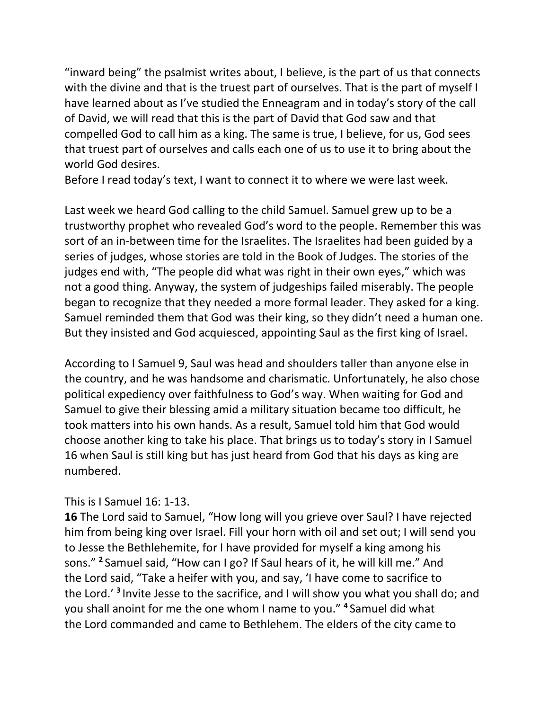"inward being" the psalmist writes about, I believe, is the part of us that connects with the divine and that is the truest part of ourselves. That is the part of myself I have learned about as I've studied the Enneagram and in today's story of the call of David, we will read that this is the part of David that God saw and that compelled God to call him as a king. The same is true, I believe, for us, God sees that truest part of ourselves and calls each one of us to use it to bring about the world God desires.

Before I read today's text, I want to connect it to where we were last week.

Last week we heard God calling to the child Samuel. Samuel grew up to be a trustworthy prophet who revealed God's word to the people. Remember this was sort of an in-between time for the Israelites. The Israelites had been guided by a series of judges, whose stories are told in the Book of Judges. The stories of the judges end with, "The people did what was right in their own eyes," which was not a good thing. Anyway, the system of judgeships failed miserably. The people began to recognize that they needed a more formal leader. They asked for a king. Samuel reminded them that God was their king, so they didn't need a human one. But they insisted and God acquiesced, appointing Saul as the first king of Israel.

According to I Samuel 9, Saul was head and shoulders taller than anyone else in the country, and he was handsome and charismatic. Unfortunately, he also chose political expediency over faithfulness to God's way. When waiting for God and Samuel to give their blessing amid a military situation became too difficult, he took matters into his own hands. As a result, Samuel told him that God would choose another king to take his place. That brings us to today's story in I Samuel 16 when Saul is still king but has just heard from God that his days as king are numbered.

## This is I Samuel 16: 1-13.

**16** The Lord said to Samuel, "How long will you grieve over Saul? I have rejected him from being king over Israel. Fill your horn with oil and set out; I will send you to Jesse the Bethlehemite, for I have provided for myself a king among his sons." **<sup>2</sup>** Samuel said, "How can I go? If Saul hears of it, he will kill me." And the Lord said, "Take a heifer with you, and say, 'I have come to sacrifice to the Lord.' **<sup>3</sup>** Invite Jesse to the sacrifice, and I will show you what you shall do; and you shall anoint for me the one whom I name to you." **<sup>4</sup>** Samuel did what the Lord commanded and came to Bethlehem. The elders of the city came to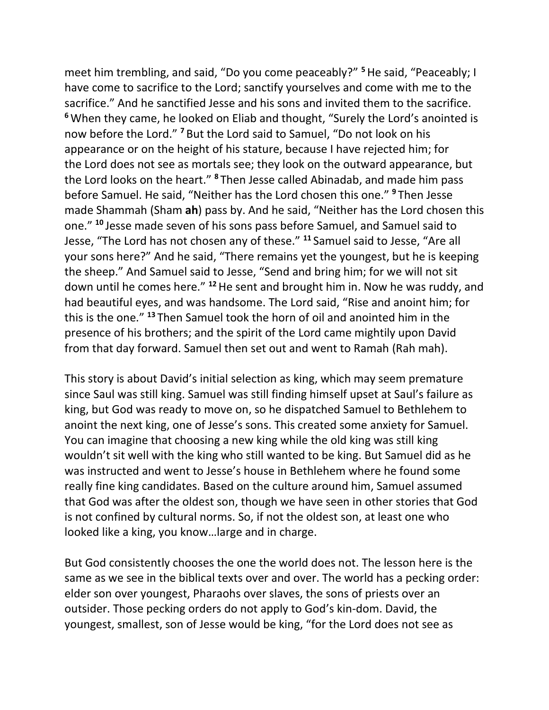meet him trembling, and said, "Do you come peaceably?" **<sup>5</sup>**He said, "Peaceably; I have come to sacrifice to the Lord; sanctify yourselves and come with me to the sacrifice." And he sanctified Jesse and his sons and invited them to the sacrifice. **<sup>6</sup>**When they came, he looked on Eliab and thought, "Surely the Lord's anointed is now before the Lord." **<sup>7</sup>** But the Lord said to Samuel, "Do not look on his appearance or on the height of his stature, because I have rejected him; for the Lord does not see as mortals see; they look on the outward appearance, but the Lord looks on the heart." **<sup>8</sup>** Then Jesse called Abinadab, and made him pass before Samuel. He said, "Neither has the Lord chosen this one." **<sup>9</sup>** Then Jesse made Shammah (Sham **ah**) pass by. And he said, "Neither has the Lord chosen this one." **<sup>10</sup>** Jesse made seven of his sons pass before Samuel, and Samuel said to Jesse, "The Lord has not chosen any of these." **<sup>11</sup>** Samuel said to Jesse, "Are all your sons here?" And he said, "There remains yet the youngest, but he is keeping the sheep." And Samuel said to Jesse, "Send and bring him; for we will not sit down until he comes here." **<sup>12</sup>**He sent and brought him in. Now he was ruddy, and had beautiful eyes, and was handsome. The Lord said, "Rise and anoint him; for this is the one." **<sup>13</sup>** Then Samuel took the horn of oil and anointed him in the presence of his brothers; and the spirit of the Lord came mightily upon David from that day forward. Samuel then set out and went to Ramah (Rah mah).

This story is about David's initial selection as king, which may seem premature since Saul was still king. Samuel was still finding himself upset at Saul's failure as king, but God was ready to move on, so he dispatched Samuel to Bethlehem to anoint the next king, one of Jesse's sons. This created some anxiety for Samuel. You can imagine that choosing a new king while the old king was still king wouldn't sit well with the king who still wanted to be king. But Samuel did as he was instructed and went to Jesse's house in Bethlehem where he found some really fine king candidates. Based on the culture around him, Samuel assumed that God was after the oldest son, though we have seen in other stories that God is not confined by cultural norms. So, if not the oldest son, at least one who looked like a king, you know…large and in charge.

But God consistently chooses the one the world does not. The lesson here is the same as we see in the biblical texts over and over. The world has a pecking order: elder son over youngest, Pharaohs over slaves, the sons of priests over an outsider. Those pecking orders do not apply to God's kin-dom. David, the youngest, smallest, son of Jesse would be king, "for the Lord does not see as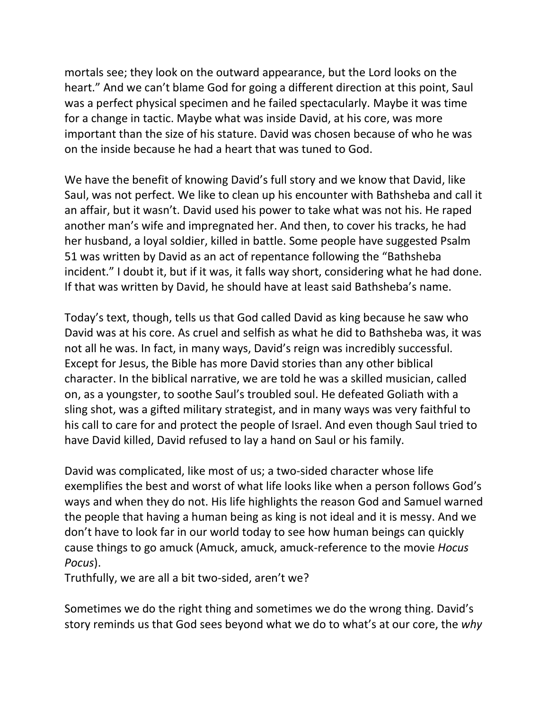mortals see; they look on the outward appearance, but the Lord looks on the heart." And we can't blame God for going a different direction at this point, Saul was a perfect physical specimen and he failed spectacularly. Maybe it was time for a change in tactic. Maybe what was inside David, at his core, was more important than the size of his stature. David was chosen because of who he was on the inside because he had a heart that was tuned to God.

We have the benefit of knowing David's full story and we know that David, like Saul, was not perfect. We like to clean up his encounter with Bathsheba and call it an affair, but it wasn't. David used his power to take what was not his. He raped another man's wife and impregnated her. And then, to cover his tracks, he had her husband, a loyal soldier, killed in battle. Some people have suggested Psalm 51 was written by David as an act of repentance following the "Bathsheba incident." I doubt it, but if it was, it falls way short, considering what he had done. If that was written by David, he should have at least said Bathsheba's name.

Today's text, though, tells us that God called David as king because he saw who David was at his core. As cruel and selfish as what he did to Bathsheba was, it was not all he was. In fact, in many ways, David's reign was incredibly successful. Except for Jesus, the Bible has more David stories than any other biblical character. In the biblical narrative, we are told he was a skilled musician, called on, as a youngster, to soothe Saul's troubled soul. He defeated Goliath with a sling shot, was a gifted military strategist, and in many ways was very faithful to his call to care for and protect the people of Israel. And even though Saul tried to have David killed, David refused to lay a hand on Saul or his family.

David was complicated, like most of us; a two-sided character whose life exemplifies the best and worst of what life looks like when a person follows God's ways and when they do not. His life highlights the reason God and Samuel warned the people that having a human being as king is not ideal and it is messy. And we don't have to look far in our world today to see how human beings can quickly cause things to go amuck (Amuck, amuck, amuck-reference to the movie *Hocus Pocus*).

Truthfully, we are all a bit two-sided, aren't we?

Sometimes we do the right thing and sometimes we do the wrong thing. David's story reminds us that God sees beyond what we do to what's at our core, the *why*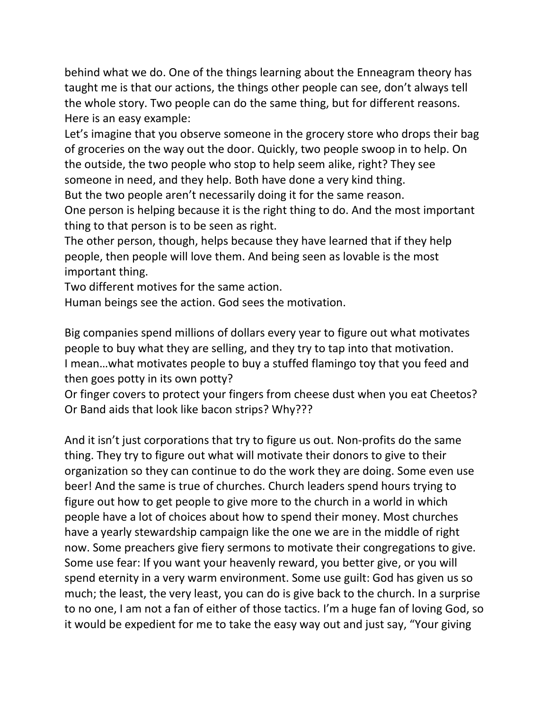behind what we do. One of the things learning about the Enneagram theory has taught me is that our actions, the things other people can see, don't always tell the whole story. Two people can do the same thing, but for different reasons. Here is an easy example:

Let's imagine that you observe someone in the grocery store who drops their bag of groceries on the way out the door. Quickly, two people swoop in to help. On the outside, the two people who stop to help seem alike, right? They see someone in need, and they help. Both have done a very kind thing.

But the two people aren't necessarily doing it for the same reason.

One person is helping because it is the right thing to do. And the most important thing to that person is to be seen as right.

The other person, though, helps because they have learned that if they help people, then people will love them. And being seen as lovable is the most important thing.

Two different motives for the same action.

Human beings see the action. God sees the motivation.

Big companies spend millions of dollars every year to figure out what motivates people to buy what they are selling, and they try to tap into that motivation. I mean…what motivates people to buy a stuffed flamingo toy that you feed and then goes potty in its own potty?

Or finger covers to protect your fingers from cheese dust when you eat Cheetos? Or Band aids that look like bacon strips? Why???

And it isn't just corporations that try to figure us out. Non-profits do the same thing. They try to figure out what will motivate their donors to give to their organization so they can continue to do the work they are doing. Some even use beer! And the same is true of churches. Church leaders spend hours trying to figure out how to get people to give more to the church in a world in which people have a lot of choices about how to spend their money. Most churches have a yearly stewardship campaign like the one we are in the middle of right now. Some preachers give fiery sermons to motivate their congregations to give. Some use fear: If you want your heavenly reward, you better give, or you will spend eternity in a very warm environment. Some use guilt: God has given us so much; the least, the very least, you can do is give back to the church. In a surprise to no one, I am not a fan of either of those tactics. I'm a huge fan of loving God, so it would be expedient for me to take the easy way out and just say, "Your giving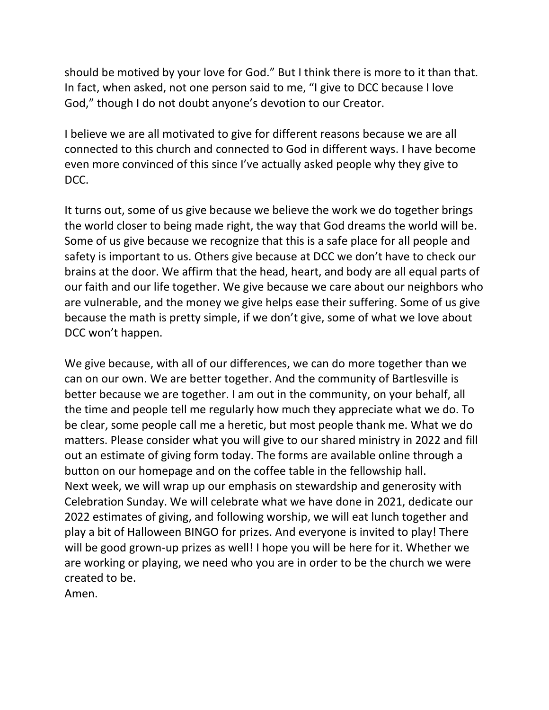should be motived by your love for God." But I think there is more to it than that. In fact, when asked, not one person said to me, "I give to DCC because I love God," though I do not doubt anyone's devotion to our Creator.

I believe we are all motivated to give for different reasons because we are all connected to this church and connected to God in different ways. I have become even more convinced of this since I've actually asked people why they give to DCC.

It turns out, some of us give because we believe the work we do together brings the world closer to being made right, the way that God dreams the world will be. Some of us give because we recognize that this is a safe place for all people and safety is important to us. Others give because at DCC we don't have to check our brains at the door. We affirm that the head, heart, and body are all equal parts of our faith and our life together. We give because we care about our neighbors who are vulnerable, and the money we give helps ease their suffering. Some of us give because the math is pretty simple, if we don't give, some of what we love about DCC won't happen.

We give because, with all of our differences, we can do more together than we can on our own. We are better together. And the community of Bartlesville is better because we are together. I am out in the community, on your behalf, all the time and people tell me regularly how much they appreciate what we do. To be clear, some people call me a heretic, but most people thank me. What we do matters. Please consider what you will give to our shared ministry in 2022 and fill out an estimate of giving form today. The forms are available online through a button on our homepage and on the coffee table in the fellowship hall. Next week, we will wrap up our emphasis on stewardship and generosity with Celebration Sunday. We will celebrate what we have done in 2021, dedicate our 2022 estimates of giving, and following worship, we will eat lunch together and play a bit of Halloween BINGO for prizes. And everyone is invited to play! There will be good grown-up prizes as well! I hope you will be here for it. Whether we are working or playing, we need who you are in order to be the church we were created to be.

Amen.